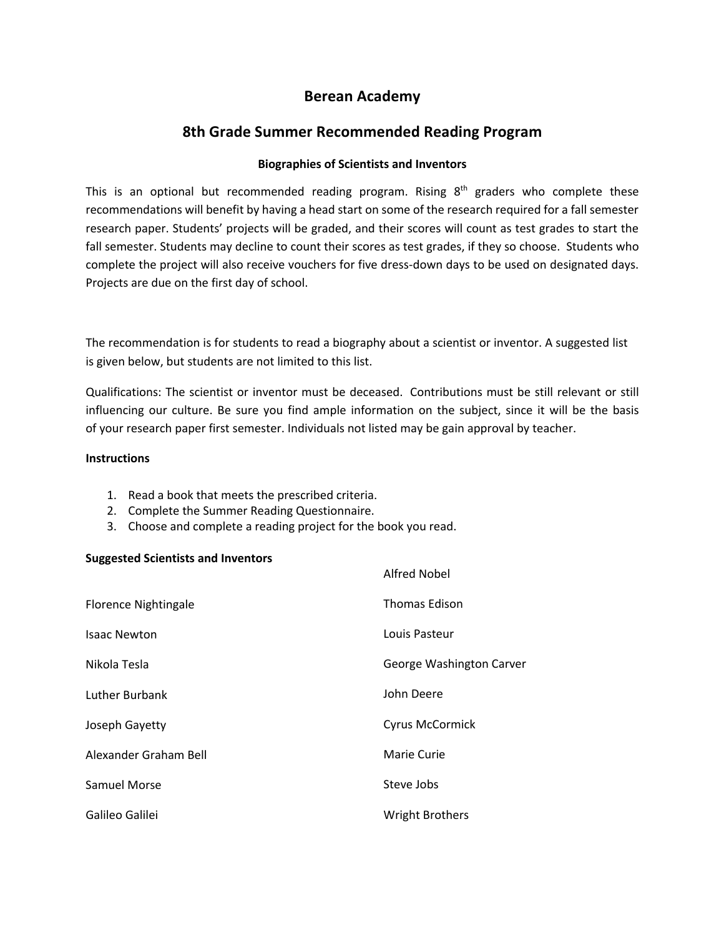# **Berean Academy**

# **8th Grade Summer Recommended Reading Program**

#### **Biographies of Scientists and Inventors**

This is an optional but recommended reading program. Rising 8<sup>th</sup> graders who complete these recommendations will benefit by having a head start on some of the research required for a fall semester research paper. Students' projects will be graded, and their scores will count as test grades to start the fall semester. Students may decline to count their scores as test grades, if they so choose. Students who complete the project will also receive vouchers for five dress-down days to be used on designated days. Projects are due on the first day of school.

The recommendation is for students to read a biography about a scientist or inventor. A suggested list is given below, but students are not limited to this list.

Qualifications: The scientist or inventor must be deceased. Contributions must be still relevant or still influencing our culture. Be sure you find ample information on the subject, since it will be the basis of your research paper first semester. Individuals not listed may be gain approval by teacher.

#### **Instructions**

- 1. Read a book that meets the prescribed criteria.
- 2. Complete the Summer Reading Questionnaire.
- 3. Choose and complete a reading project for the book you read.

#### **Suggested Scientists and Inventors**

|                             | Alfred Nobel             |
|-----------------------------|--------------------------|
| <b>Florence Nightingale</b> | <b>Thomas Edison</b>     |
| <b>Isaac Newton</b>         | Louis Pasteur            |
| Nikola Tesla                | George Washington Carver |
| Luther Burbank              | John Deere               |
| Joseph Gayetty              | <b>Cyrus McCormick</b>   |
| Alexander Graham Bell       | Marie Curie              |
| Samuel Morse                | Steve Jobs               |
| Galileo Galilei             | <b>Wright Brothers</b>   |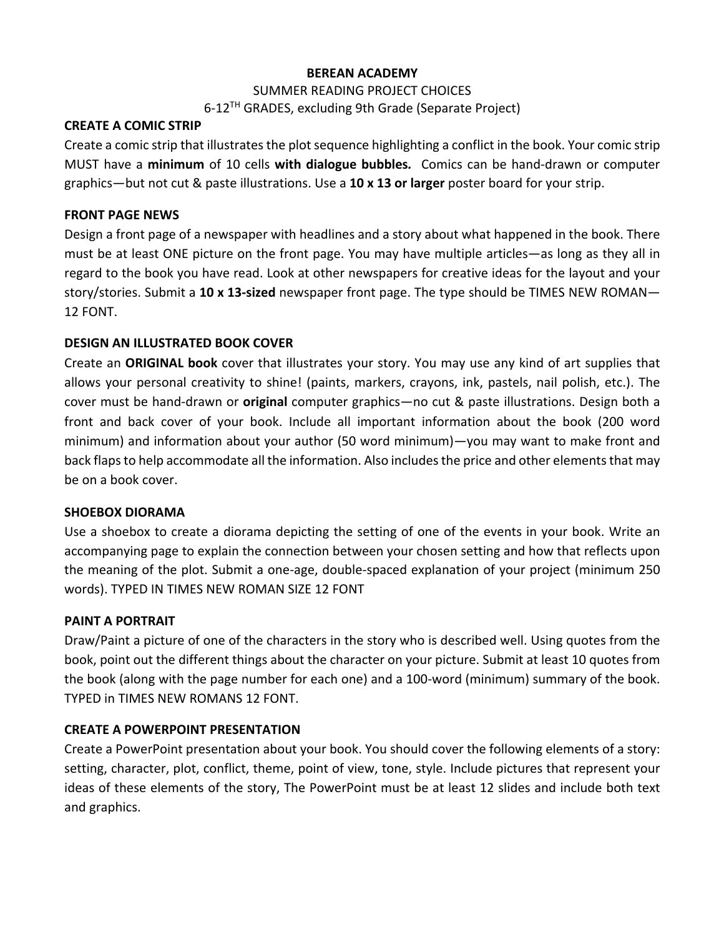## **BEREAN ACADEMY**

### SUMMER READING PROJECT CHOICES

6-12<sup>TH</sup> GRADES, excluding 9th Grade (Separate Project)

### **CREATE A COMIC STRIP**

Create a comic strip that illustrates the plot sequence highlighting a conflict in the book. Your comic strip MUST have a **minimum** of 10 cells **with dialogue bubbles***.* Comics can be hand-drawn or computer graphics—but not cut & paste illustrations. Use a **10 x 13 or larger** poster board for your strip.

## **FRONT PAGE NEWS**

Design a front page of a newspaper with headlines and a story about what happened in the book. There must be at least ONE picture on the front page. You may have multiple articles—as long as they all in regard to the book you have read. Look at other newspapers for creative ideas for the layout and your story/stories. Submit a **10 x 13-sized** newspaper front page. The type should be TIMES NEW ROMAN— 12 FONT.

## **DESIGN AN ILLUSTRATED BOOK COVER**

Create an **ORIGINAL book** cover that illustrates your story. You may use any kind of art supplies that allows your personal creativity to shine! (paints, markers, crayons, ink, pastels, nail polish, etc.). The cover must be hand-drawn or **original** computer graphics—no cut & paste illustrations. Design both a front and back cover of your book. Include all important information about the book (200 word minimum) and information about your author (50 word minimum)—you may want to make front and back flaps to help accommodate all the information. Also includes the price and other elements that may be on a book cover.

### **SHOEBOX DIORAMA**

Use a shoebox to create a diorama depicting the setting of one of the events in your book. Write an accompanying page to explain the connection between your chosen setting and how that reflects upon the meaning of the plot. Submit a one-age, double-spaced explanation of your project (minimum 250 words). TYPED IN TIMES NEW ROMAN SIZE 12 FONT

# **PAINT A PORTRAIT**

Draw/Paint a picture of one of the characters in the story who is described well. Using quotes from the book, point out the different things about the character on your picture. Submit at least 10 quotes from the book (along with the page number for each one) and a 100-word (minimum) summary of the book. TYPED in TIMES NEW ROMANS 12 FONT.

# **CREATE A POWERPOINT PRESENTATION**

Create a PowerPoint presentation about your book. You should cover the following elements of a story: setting, character, plot, conflict, theme, point of view, tone, style. Include pictures that represent your ideas of these elements of the story, The PowerPoint must be at least 12 slides and include both text and graphics.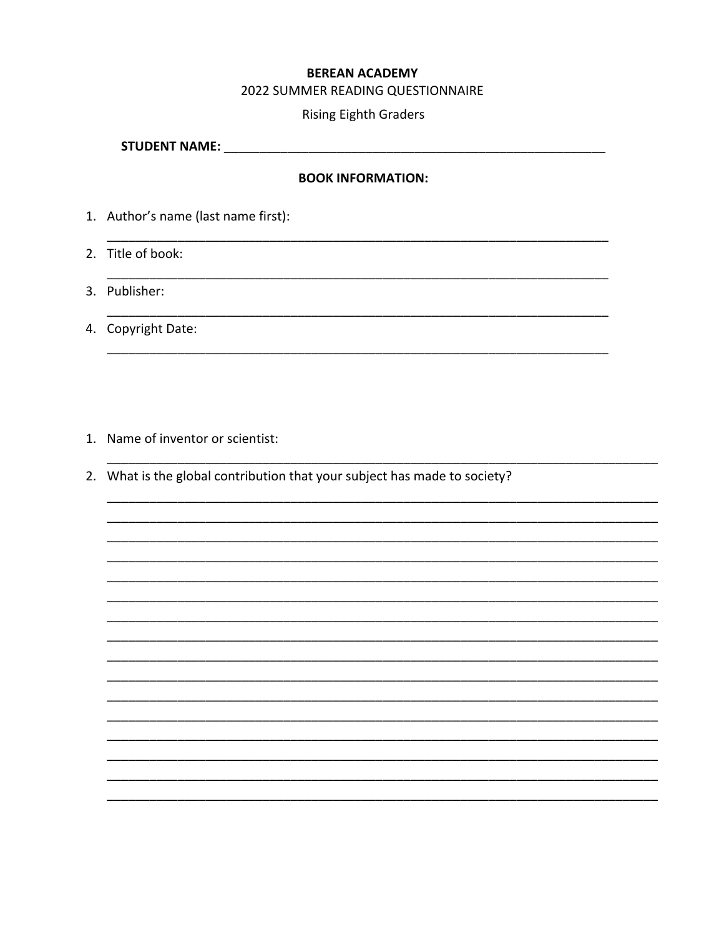# **BEREAN ACADEMY**

#### 2022 SUMMER READING QUESTIONNAIRE

#### **Rising Eighth Graders**

#### **BOOK INFORMATION:**

1. Author's name (last name first):

2. Title of book:

- 3. Publisher:
- 4. Copyright Date:

- 1. Name of inventor or scientist:
- 2. What is the global contribution that your subject has made to society?